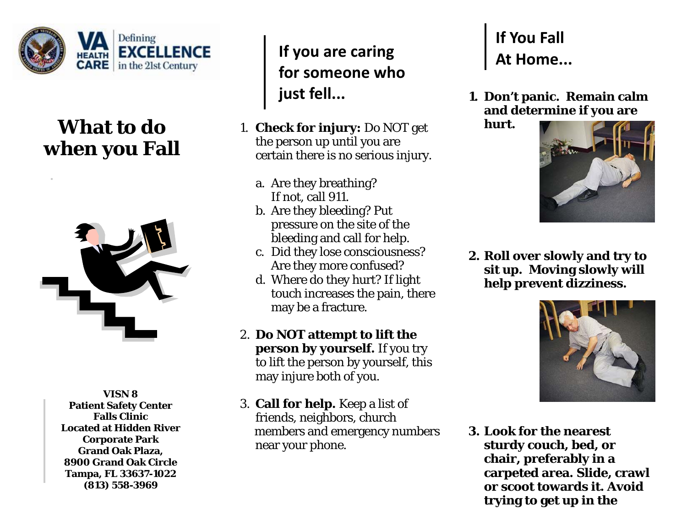

## **What to do when you Fall**



**VISN 8 Patient Safety Center Falls Clinic Located at Hidden River Corporate Park Grand Oak Plaza, 8900 Grand Oak Circle Tampa, FL 33637-1022 (813) 558-3969** 

**If you are caring for someone who just fell...**

- 1. **Check for injury:** Do NOT get the person up until you are certain there is no serious injury.
	- a. Are they breathing? If not, call 911.
	- b. Are they bleeding? Put pressure on the site of the bleeding and call for help.
	- c. Did they lose consciousness? Are they more confused?
	- d. Where do they hurt? If light touch increases the pain, there may be a fracture.
- 2. **Do NOT attempt to lift the person by yourself.** If you try to lift the person by yourself, this may injure *both* of you.
- 3. **Call for help.** Keep a list of friends, neighbors, church members and emergency numbers near your phone.

## **If You Fall At Home...**

**1. Don't panic. Remain calm and determine if you are** 

**hurt.** 



**2. Roll over slowly and try to sit up. Moving slowly will help prevent dizziness.** 



**3. Look for the nearest sturdy couch, bed, or chair, preferably in a carpeted area. Slide, crawl or scoot towards it. Avoid trying to get up in the**